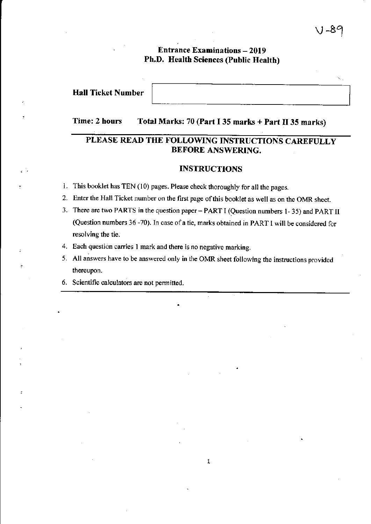# $8^{\circ}$

# **Entrance Examinations - 2019** Ph,D. Health Sciences (Public Health)

# Hall Ticket Number

# Time: 2 hours Total Marks: 70 (Part I 35 marks + Part II 35 marks)

# PLEASE READ THE FOLLOWING INSTRUCTIONS CAREFULLY BEFORE ANSWERING.

#### INSTRUCTIONS

- 1. This booklet has TEN (10) pages. Please check thoroughly for all the pages.
- 2. Enter the Hall Ticket number on the first page ofthis booklet as well as on the OMR sheet.
- 3. There are two PARTS in the question paper PART I (Question numbers I 35) and PART ll (Question numbers 36 -70). In case of a tie, marks obtained in PART I will be considered for resolving the tie.
- Each question carries I mark and there is no negative marking. 4.
- 5. All answers have to be answered only in the OMR sheet following the instructions provided thereupon.
- 6. Scientific calculators are not permitted.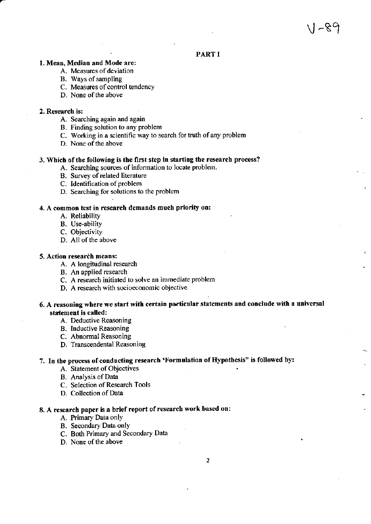## **PART I**

#### 1. Mean, Median and Mode are:

- A. Measues of deviation
- B. ways of sampling
- C. Measures of control tendency
- D. None of the above

#### 2. Research is:

- A. Searching again and again
- B. Finding solution to any problem
- C. Working in a scientific way to search for truth of any problem
- D. None of the above

#### 3. Which of the following is the first step in starting the research process?

- A. Searching sources of information to locate problem.
- B. Survey of rclated literature
- C. Identification of problem
- D. Searching for solutions to the problem

#### 4. A common test in research demands much priority on:

- A. Reliabiliry
	- B. Use-ability
	- C. Objectivity
	- D. All of the above

#### 5. Action research means:

- A. A longitudinal research
- B. An applied research
- C. A research initiated to solve an immediate problem
- D, A rcsearch with socioeconomic objective

#### 6. A reasoning where we start with certain particular statements and conclude with a universal statement is called:

- A. Deductive Reasoning
- B. Inductive Reasoning
- C, Abnormal Reasoning
- D. Transcendental Reasoning

# 7. In the process of conducting research 'Formulation of Hypothesis" is followed by:

- A. Statement of Objectives
- B. Analysis of Data
- C. Selection of Research Tools
- D. Collection of Data

# 8. A research paper is a brief report of research work based on:

- A. Primary Data only
- B. Secondary Data only
- C. Both Primary and Secondary Data
- D. None of the above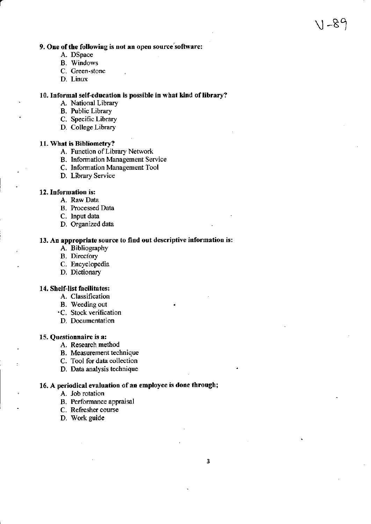#### 9. One of the following is not an open source software:

- A. DSpace
- **B.** Windows
- C. Green-stone
- D. Linux

#### 10. Informal self-education is possible in what kind of library?

- A. National Library
- **B.** Public Library
- C. Specific Library
- D. College Library

#### 11. What is Bibliometry?

- A. Function of Library Network
- **B.** Information Management Service
- C. Information Management Tool
- D. Library Service

#### 12. Information is:

- A. Raw Data
- B. Processed Data
- C. Input data
- D. Organized data

#### 13. An appropriate source to find out descriptive information is:

- A. Bibliography
- **B.** Directory
- C. Encyclopedia
- D. Dictionary

#### 14. Shelf-list facilitates:

- A. Classification
- B. Weeding out
- ·C. Stock verification
- D. Documentation

#### 15. Questionnaire is a:

- A. Research method
- B. Measurement technique
- C. Tool for data collection
- D. Data analysis technique

#### 16. A periodical evaluation of an employee is done through;

- A. Job rotation
- B. Performance appraisal
- C. Refresher course
- D. Work guide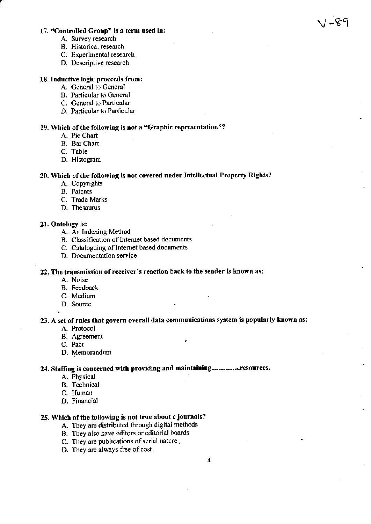#### 17. "Controlled Group" is a term used in:

- A. Survey research
- B. Historical research
- C. Experimental research
- D. Descriptive research

#### 18. Inductive logic proceeds from:

- A. General to General
- B. Particular to General
- C. General to Particular
- D. Particular to Particular

#### 19. Which of the following is not a "Graphic representation"?

- A. Pie Chart
- **B.** Bar Chart
- C. Table
- D. Histogram

## 20. Which of the following is not covered under Intellectual Property Rights?

- A. Copyrights
- **B.** Patents
- C. Trade Marks
- D. Thesaurus

#### 21. Ontology is:

- A. An Indexing Method
- B. Classification of Internet based documents
- C. Cataloguing of Internet based documents
- D. Documentation service

#### 22. The transmission of receiver's reaction back to the sender is known as:

- A. Noise
- **B.** Feedback
- C. Medium
- D. Source

# 23. A set of rules that govern overall data communications system is popularly known as:

- A. Protocol
- **B.** Agreement
- C. Pact
- D. Memorandum

#### 24. Staffing is concerned with providing and maintaining................resources.

- A. Physical
- **B.** Technical
- C. Human
- D. Financial

#### 25. Which of the following is not true about e journals?

- A. They are distributed through digital methods
- B. They also have editors or editorial boards
- C. They are publications of serial nature.
- D. They are always free of cost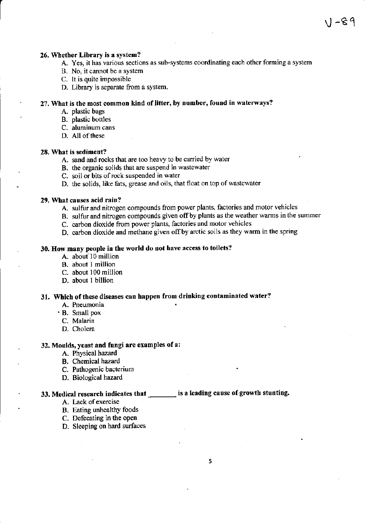#### 26. Whether Library is a system?

A. Yes, it has various sections as sub-systems coordinating each other foming a system

1-89

- B. No, it cannot be a system
- c. It is quite impossible
- D. Library is separate fiom a system.

# 27. What is the most common kind of litter, by number, found in waterways?<br>A. plastic bags

- 
- B. plastic bottles
- C. aluminum cans
- D. All of these

#### 28, What is sediment?

- A. sand and rocks that are too heavy to be caried by water
- B. the organic solids that are suspend in wastewater
- C. soil or bits of rock suspended in water
- D. the solids, like fats, grease and oils, that float on top of wastewater

#### 29. What causes acid rain?

- A. sulfur and ritrogen compounds from power plants, factories and motor vehioles
- B. sulfur and nitrogen compounds given off by plants as the weather warms in the summer
- C. carbon dioxide from power plants, factories and motor vehicles
- D. carbon dioxide and methane given off by arctic soils as they warm in the spring

# . 30. How many people in the world do not have access to toilets?

- A. about 10 million
- . B. about I million
- C. about 100 million
- D. about I billion

## 31. Which of these diseases can happen from drinking contaminated water?

- A. Pneumonia
- ' B. Smallpox
	- C. Malaria
	- D. Cholera

# 32. Moulds, yeast and fungi are examples of a:

- A. Physical hazard
- . B. Chemical hazard
- C. Pathogenic bacterium
- D. Biological hazard

# 33. Medical research indicates that \_\_\_\_\_\_\_ is a leading cause of growth stunting.

- A. Lack of exercise
- B. Eating unhealthy foods
- C. Defecating in the open
- D. Sleeping on hard surfaces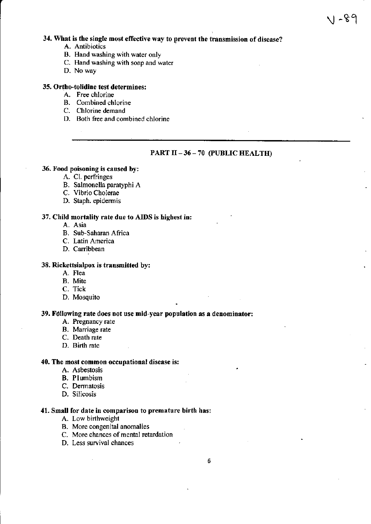## 34. What is the single most effective way to prevent the transmission of disease?

- A. Antibiotics
- B. Hand washing with water only
- C. Hand washing with soap and water
- D. No way

#### 35. Ortho-tolidine test determines:

- A. Free chlorine
- B. Combined chlorine
- C. Chlorine demand
- D. Both free and combined chlorine

# PART II - 36 - 70 (PUBLIC HEALTH)

। -୫৭

#### 36. Food poisoning is caused by:

- A. Cl. perfringes
- B. Salmonella paratyphi A
- C. Vibrio Cholerae
- D. Staph. epidermis

#### 37. Child mortality rate due to AIDS is highest in:

- A. Asia
- B. Sub-Saharan Africa
- C. Latin America
- D. Carribbean

#### 38. Rickettsialpox is transmitted by:

- A. Flea
- B. Mite
- C. Tick
- D. Mosquito

#### 39. Following rate does not use mid-year population as a denominator:

- A. Pregnancy rate
- B. Marriage rate
- C. Death rate
- D. Birth rate

#### 40. The most common occupational disease is:

- A. Asbestosis
- **B.** Plumbism
- C. Dermatosis
- D. Silicosis

#### 41. Small for date in comparison to premature birth has:

- A. Low birthweight
- B. More congenital anomalies
- C. More chances of mental retardation
- D. Less survival chances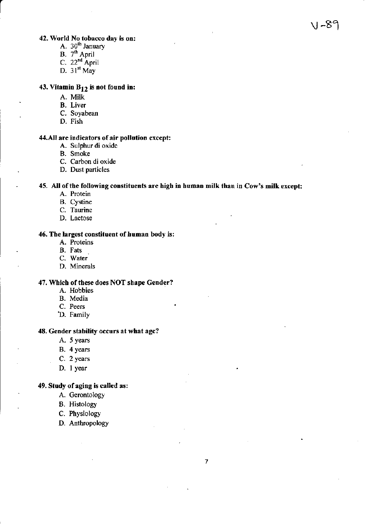# $\vee$  -89

# **42. World No tobacco day is on:**<br>A.  $30^{th}$  January

- 
- B. 7<sup>th</sup> April
- C.  $22^{nd}$  April
- D.  $31^{\rm st}$  May

# 43. Vitamin  $B_{12}$  is not found in:

- A. Milk
- B. Liver
- C. Soyabean
- D. Fish

#### 44.All are indicators of air pollution except:

- A. Sulphur di oxide
- B. Smoke
- C. Carbon di oxide
- D. Dust particles

#### 45. All of the following constituents are high in human milk than in Cow's milk except:

- A. Protein
- B. Cystine
- C. Taurine
- D. Lactose

#### 46. The largest constituent of human body is:

- A. Proteins
- B. Fats
- C. Water
- D. Minerals

#### 47. Which of these does NOT shape Gender?

- A. Hobbies
- B. Media
- C. Peers
- D. Family

#### 48. Gender stability occurs at what age?

- A. 5 years
- B. 4 years
- C. 2 years
- D. I year

#### 49. Study of aging is called as:

- A. Gerontology
- B, Hisrology
- C. Physiology
- D. Anthropology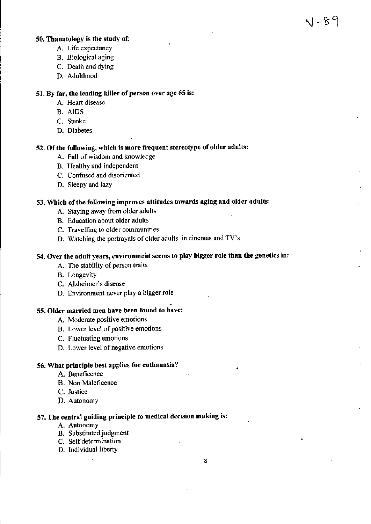# $V - 89$

#### 50. Thanatology is the study of:

- A. Life expectancy
- B. Biological aging
- C. Death and dying
- D. Adulthood

#### 51. By far, the leading killer of person over age 65 is:

- A. Heart disease
- **B.** AIDS
- C. Stroke
- D. Diabetes

#### 52. Of the following, which is more frequent stereotype of older adults:

- A. Full of wisdom and knowledge
- B. Healthy and independent
- C. Confused and disoriented
- D. Sleepy and lazy

# 53. Which of the following improves attitudes towards aging and older adults:

- A. Staying away from older adults
- B. Education about older adults
- C. Travelling to older communities
- D. Watching the portrayals of older adults in cinemas and TV's

#### 54. Over the adult years, environment seems to play bigger role than the genetics in:

- A. The stability of person traits
- **B.** Longevity
- C. Alzheimer's disease
- D. Environment never play a bigger role

## 55. Older married men have been found to have:

- A. Moderate positive emotions
- B. Lower level of positive emotions
- C. Fluctuating emotions
- D. Lower level of negative emotions

# 56. What principle best applies for euthanasia?

- A. Beneficence
- B. Non Maleficence
- C. Justice
- D. Autonomy

# 57. The central guiding principle to medical decision making is:

- A. Autonomy
- **B.** Substituted judgment
- C. Self determination
- D. Individual liberty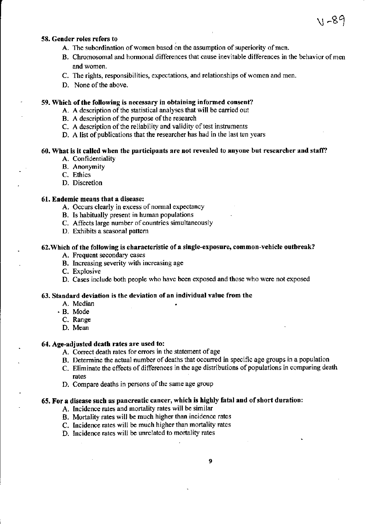#### 58. Gender roles refers to

- A. The subordination of women based on the assumption of superiority of men.
- B. Chromosomal and hormonal differences that cause inevitable differences in the behavior of men and women.

\I ~89

- C. The rights, responsibilities, expectations, and relationships of women and men.
- D. None of the above.

#### 59. Which of the following is necessary in obtaining informed consent?

- A. A description of the statistical analyses that will be carried out
- B. A description of the purpose of the research
- C. A description of the reliability and validity of test instruments
- D. A list of publications that the researcher has had in the last ten years

## 60. What is it called when the participants are not revealed to anyone but researcher and staff?

- A. Confidentiality
- **B.** Anonymity
- C. Ethics
- D. Discretion

#### 61. Endemic means that a disease:

- A. Occurs clearly in excess of normal expectancy
- B. Is habitually present in human populations
- C. Affects large number of countries simultaneously
- D. Exhibits a seasonal pattern

#### 62. Which of the following is characteristic of a single-exposure, common-vehicle outbreak?

- A. Frequent secondary cases
- B. Increasing severity with increasing age
- C. Explosive
- D. Cases include both people who have been exposed and those who were not exposed

#### 63. Standard deviation is the deviation of an individual value from the

- A. Median
- B. Mode
	- C. Range
	- D. Mean

#### 64. Age-adjusted death rates are used to:

- A. Correct death rates for errors in the statement of age
- B. Determine the actual number of deaths that occurred in specific age groups in a population
- C. Eliminate the effects of differences in the age distributions of populations in comparing death rates
- D. Compare deaths in persons of the same age group

## 65. For a disease such as pancreatic cancer, which is highly fatal and of short duration:

- A. Incidence rates and mortality rates will be similar
- B. Mortality rates will be much higher than incidence rates
- C. Incidence rates will be much higher than mortality rates
- D. Incidence rates will be unrelated to mortality rates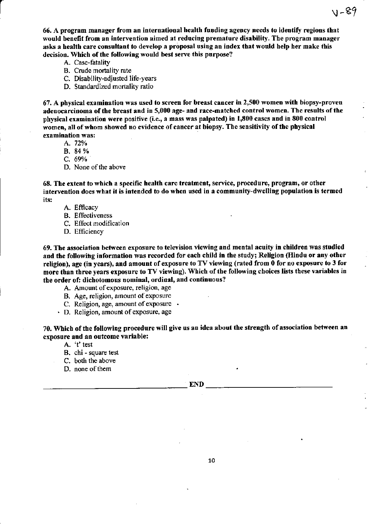66. A program manager from an international health funding agency needs to identify regions that would benefit from an intervention aimed at reducing premature disability. The program manager asks a health care consultant to develop a proposal using an index that would help her make this decision. Which of the following would best serve this purpose?

VI-89

- A. Case-fatality
- B. Crude mortality rate
- C. Disability-adjusted life-years
- D. Standardized mortality ratio

67. A physical examination was used to screen for breast cancer in 2,500 women with biopsy-proven adenocarcinoma of the breast and in 5,000 age- and race-matched control women. The results of the physical examination were positive (i.e., a mass was palpated) in 1,800 cases and in 800 control women, all of whom showed no evidence of cancer at biopsy. The sensitivity of the physical examination was:

A. 72%

B. 84 %

C.  $69%$ 

D. None of the above

68. The extent to which a specific health care treatment, service, procedure, program, or other intervention does what it is intended to do when used in a community-dwelling population is termed its:

A. Efficacy

- **B.** Effectiveness
- C. Effect modification
- D. Efficiency

69. The association between exposure to television viewing and mental acuity in children was studied and the following information was recorded for each child in the study; Religion (Hindu or any other religion), age (in years), and amount of exposure to TV viewing (rated from 0 for no exposure to 3 for more than three years exposure to TV viewing). Which of the following choices lists these variables in the order of: dichotomous nominal, ordinal, and continuous?

A. Amount of exposure, religion, age

- B. Age, religion, amount of exposure
- C. Religion, age, amount of exposure .
- · D. Religion, amount of exposure, age

70. Which of the following procedure will give us an idea about the strength of association between an exposure and an outcome variable:

- A. 't' test
- B. chi square test
- C. both the above
- D. none of them

10